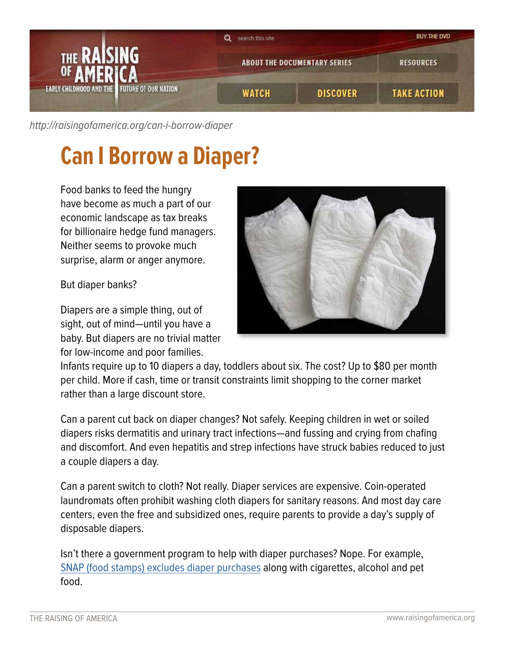

[http://raisingofamerica.org/](http://raisingofamerica.org/can-i-borrow-diaper)can-i-borrow-diaper

## **Can I Borrow a Diaper?**

Food banks to feed the hungry have become as much a part of our economic landscape as tax breaks for billionaire hedge fund managers. Neither seems to provoke much surprise, alarm or anger anymore.

But diaper banks?

Diapers are a simple thing, out of sight, out of mind—until you have a baby. But diapers are no trivial matter for low-income and poor families.



Infants require up to 10 diapers a day, toddlers about six. The cost? Up to \$80 per month per child. More if cash, time or transit constraints limit shopping to the corner market rather than a large discount store.

Can a parent cut back on diaper changes? Not safely. Keeping children in wet or soiled diapers risks dermatitis and urinary tract infections—and fussing and crying from chafing and discomfort. And even hepatitis and strep infections have struck babies reduced to just a couple diapers a day.

Can a parent switch to cloth? Not really. Diaper services are expensive. Coin-operated laundromats often prohibit washing cloth diapers for sanitary reasons. And most day care centers, even the free and subsidized ones, require parents to provide a day's supply of disposable diapers.

Isn't there a government program to help with diaper purchases? Nope. For example, [SNAP \(food stamps\) excludes diaper purchases](http://www.fns.usda.gov/snap/mobile/benefits/what-can-i-buy.html) along with cigarettes, alcohol and pet food.